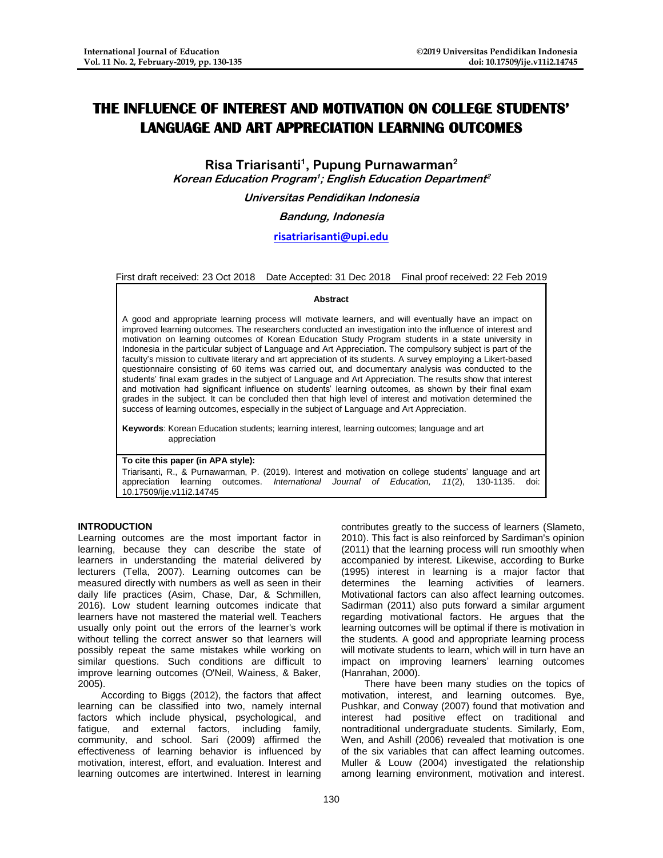# **THE INFLUENCE OF INTEREST AND MOTIVATION ON COLLEGE STUDENTS' LANGUAGE AND ART APPRECIATION LEARNING OUTCOMES**

**Risa Triarisanti<sup>1</sup> , Pupung Purnawarman<sup>2</sup> Korean Education Program<sup>1</sup> ; English Education Department 2**

**Universitas Pendidikan Indonesia**

**Bandung, Indonesia**

# **[risatriarisanti@upi.edu](mailto:risatriarisanti@upi.edu)**

First draft received: 23 Oct 2018 Date Accepted: 31 Dec 2018 Final proof received: 22 Feb 2019

### **Abstract**

A good and appropriate learning process will motivate learners, and will eventually have an impact on improved learning outcomes. The researchers conducted an investigation into the influence of interest and motivation on learning outcomes of Korean Education Study Program students in a state university in Indonesia in the particular subject of Language and Art Appreciation. The compulsory subject is part of the faculty's mission to cultivate literary and art appreciation of its students. A survey employing a Likert-based questionnaire consisting of 60 items was carried out, and documentary analysis was conducted to the students' final exam grades in the subject of Language and Art Appreciation. The results show that interest and motivation had significant influence on students' learning outcomes, as shown by their final exam grades in the subject. It can be concluded then that high level of interest and motivation determined the success of learning outcomes, especially in the subject of Language and Art Appreciation.

**Keywords**: Korean Education students; learning interest, learning outcomes; language and art appreciation

# **To cite this paper (in APA style):**

Triarisanti, R., & Purnawarman, P. (2019). Interest and motivation on college students' language and art appreciation learning outcomes. *International Journal of Education, 11*(2), 130-1135. doi: 10.17509/ije.v11i2.14745

# **INTRODUCTION**

Learning outcomes are the most important factor in learning, because they can describe the state of learners in understanding the material delivered by lecturers (Tella, 2007). Learning outcomes can be measured directly with numbers as well as seen in their daily life practices (Asim, Chase, Dar, & Schmillen, 2016). Low student learning outcomes indicate that learners have not mastered the material well. Teachers usually only point out the errors of the learner's work without telling the correct answer so that learners will possibly repeat the same mistakes while working on similar questions. Such conditions are difficult to improve learning outcomes (O'Neil, Wainess, & Baker, 2005).

According to Biggs (2012), the factors that affect learning can be classified into two, namely internal factors which include physical, psychological, and fatigue, and external factors, including family, community, and school. Sari (2009) affirmed the effectiveness of learning behavior is influenced by motivation, interest, effort, and evaluation. Interest and learning outcomes are intertwined. Interest in learning

contributes greatly to the success of learners (Slameto, 2010). This fact is also reinforced by Sardiman's opinion (2011) that the learning process will run smoothly when accompanied by interest. Likewise, according to Burke (1995) interest in learning is a major factor that determines the learning activities of learners. Motivational factors can also affect learning outcomes. Sadirman (2011) also puts forward a similar argument regarding motivational factors. He argues that the learning outcomes will be optimal if there is motivation in the students. A good and appropriate learning process will motivate students to learn, which will in turn have an impact on improving learners' learning outcomes (Hanrahan, 2000).

There have been many studies on the topics of motivation, interest, and learning outcomes. Bye, Pushkar, and Conway (2007) found that motivation and interest had positive effect on traditional and nontraditional undergraduate students. Similarly, Eom, Wen, and Ashill (2006) revealed that motivation is one of the six variables that can affect learning outcomes. Muller & Louw (2004) investigated the relationship among learning environment, motivation and interest.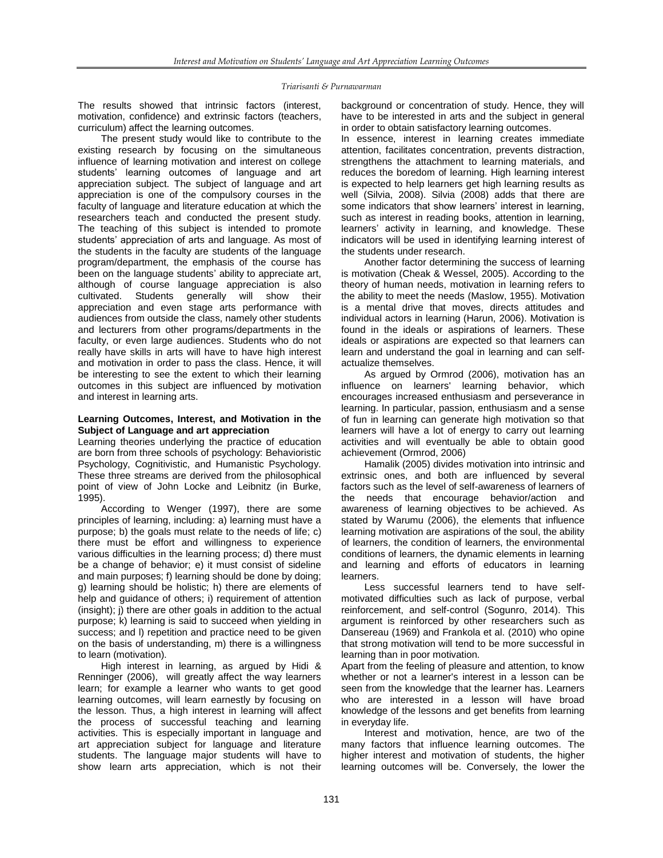### *Triarisanti & Purnawarman*

The results showed that intrinsic factors (interest, motivation, confidence) and extrinsic factors (teachers, curriculum) affect the learning outcomes.

The present study would like to contribute to the existing research by focusing on the simultaneous influence of learning motivation and interest on college students' learning outcomes of language and art appreciation subject. The subject of language and art appreciation is one of the compulsory courses in the faculty of language and literature education at which the researchers teach and conducted the present study. The teaching of this subject is intended to promote students' appreciation of arts and language. As most of the students in the faculty are students of the language program/department, the emphasis of the course has been on the language students' ability to appreciate art, although of course language appreciation is also cultivated. Students generally will show their appreciation and even stage arts performance with audiences from outside the class, namely other students and lecturers from other programs/departments in the faculty, or even large audiences. Students who do not really have skills in arts will have to have high interest and motivation in order to pass the class. Hence, it will be interesting to see the extent to which their learning outcomes in this subject are influenced by motivation and interest in learning arts.

# **Learning Outcomes, Interest, and Motivation in the Subject of Language and art appreciation**

Learning theories underlying the practice of education are born from three schools of psychology: Behavioristic Psychology, Cognitivistic, and Humanistic Psychology. These three streams are derived from the philosophical point of view of John Locke and Leibnitz (in Burke, 1995).

According to Wenger (1997), there are some principles of learning, including: a) learning must have a purpose; b) the goals must relate to the needs of life; c) there must be effort and willingness to experience various difficulties in the learning process; d) there must be a change of behavior; e) it must consist of sideline and main purposes; f) learning should be done by doing; g) learning should be holistic; h) there are elements of help and guidance of others; i) requirement of attention (insight); j) there are other goals in addition to the actual purpose; k) learning is said to succeed when yielding in success; and I) repetition and practice need to be given on the basis of understanding, m) there is a willingness to learn (motivation).

High interest in learning, as argued by Hidi & Renninger (2006), will greatly affect the way learners learn; for example a learner who wants to get good learning outcomes, will learn earnestly by focusing on the lesson. Thus, a high interest in learning will affect the process of successful teaching and learning activities. This is especially important in language and art appreciation subject for language and literature students. The language major students will have to show learn arts appreciation, which is not their

background or concentration of study. Hence, they will have to be interested in arts and the subject in general in order to obtain satisfactory learning outcomes.

In essence, interest in learning creates immediate attention, facilitates concentration, prevents distraction, strengthens the attachment to learning materials, and reduces the boredom of learning. High learning interest is expected to help learners get high learning results as well (Silvia, 2008). Silvia (2008) adds that there are some indicators that show learners' interest in learning, such as interest in reading books, attention in learning, learners' activity in learning, and knowledge. These indicators will be used in identifying learning interest of the students under research.

Another factor determining the success of learning is motivation (Cheak & Wessel, 2005). According to the theory of human needs, motivation in learning refers to the ability to meet the needs (Maslow, 1955). Motivation is a mental drive that moves, directs attitudes and individual actors in learning (Harun, 2006). Motivation is found in the ideals or aspirations of learners. These ideals or aspirations are expected so that learners can learn and understand the goal in learning and can selfactualize themselves.

As argued by Ormrod (2006), motivation has an influence on learners' learning behavior, which encourages increased enthusiasm and perseverance in learning. In particular, passion, enthusiasm and a sense of fun in learning can generate high motivation so that learners will have a lot of energy to carry out learning activities and will eventually be able to obtain good achievement (Ormrod, 2006)

Hamalik (2005) divides motivation into intrinsic and extrinsic ones, and both are influenced by several factors such as the level of self-awareness of learners of the needs that encourage behavior/action and awareness of learning objectives to be achieved. As stated by Warumu (2006), the elements that influence learning motivation are aspirations of the soul, the ability of learners, the condition of learners, the environmental conditions of learners, the dynamic elements in learning and learning and efforts of educators in learning learners.

Less successful learners tend to have selfmotivated difficulties such as lack of purpose, verbal reinforcement, and self-control (Sogunro, 2014). This argument is reinforced by other researchers such as Dansereau (1969) and Frankola et al. (2010) who opine that strong motivation will tend to be more successful in learning than in poor motivation.

Apart from the feeling of pleasure and attention, to know whether or not a learner's interest in a lesson can be seen from the knowledge that the learner has. Learners who are interested in a lesson will have broad knowledge of the lessons and get benefits from learning in everyday life.

Interest and motivation, hence, are two of the many factors that influence learning outcomes. The higher interest and motivation of students, the higher learning outcomes will be. Conversely, the lower the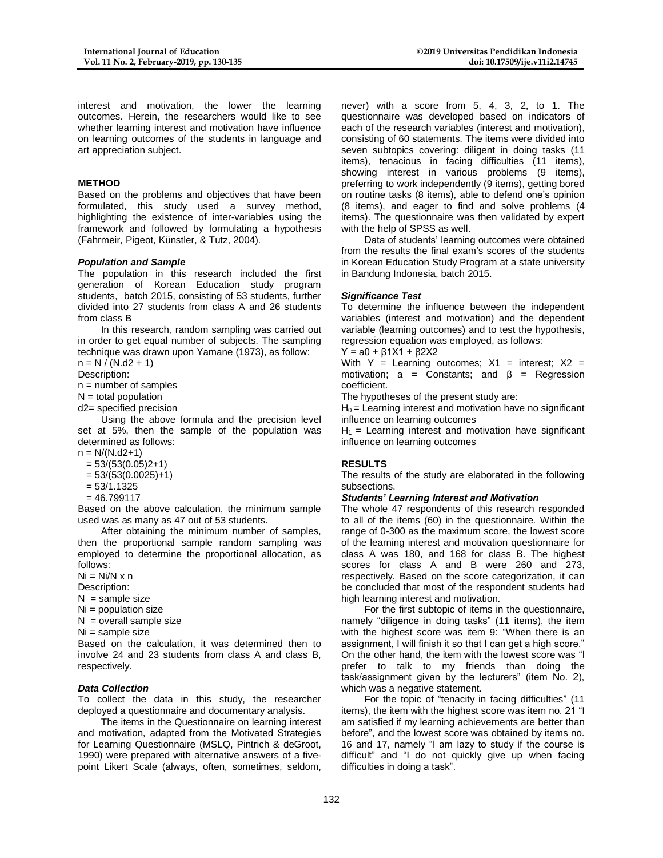interest and motivation, the lower the learning outcomes. Herein, the researchers would like to see whether learning interest and motivation have influence on learning outcomes of the students in language and art appreciation subject.

# **METHOD**

Based on the problems and objectives that have been formulated, this study used a survey method, highlighting the existence of inter-variables using the framework and followed by formulating a hypothesis (Fahrmeir, Pigeot, Künstler, & Tutz, 2004).

# *Population and Sample*

The population in this research included the first generation of Korean Education study program students, batch 2015, consisting of 53 students, further divided into 27 students from class A and 26 students from class B

In this research, random sampling was carried out in order to get equal number of subjects. The sampling technique was drawn upon Yamane (1973), as follow:

 $n = N / (N \cdot d2 + 1)$ 

Description:

 $n =$  number of samples

 $N =$  total population

d2= specified precision

Using the above formula and the precision level set at 5%, then the sample of the population was determined as follows:

 $n = N/(N.d2+1)$ 

 $= 53/(53(0.05)2+1)$ 

 $= 53/(53(0.0025)+1)$ 

 $= 53/1.1325$ 

 $= 46.799117$ 

Based on the above calculation, the minimum sample used was as many as 47 out of 53 students.

After obtaining the minimum number of samples, then the proportional sample random sampling was employed to determine the proportional allocation, as follows:

 $Ni = Ni/N \times n$ 

Description:

 $N =$  sample size

Ni = population size

 $N =$  overall sample size

 $Ni =$ sample size

Based on the calculation, it was determined then to involve 24 and 23 students from class A and class B, respectively.

# *Data Collection*

To collect the data in this study, the researcher deployed a questionnaire and documentary analysis.

The items in the Questionnaire on learning interest and motivation, adapted from the Motivated Strategies for Learning Questionnaire (MSLQ, Pintrich & deGroot, 1990) were prepared with alternative answers of a fivepoint Likert Scale (always, often, sometimes, seldom,

never) with a score from 5, 4, 3, 2, to 1. The questionnaire was developed based on indicators of each of the research variables (interest and motivation), consisting of 60 statements. The items were divided into seven subtopics covering: diligent in doing tasks (11 items), tenacious in facing difficulties (11 items), showing interest in various problems (9 items), preferring to work independently (9 items), getting bored on routine tasks (8 items), able to defend one's opinion (8 items), and eager to find and solve problems (4 items). The questionnaire was then validated by expert with the help of SPSS as well.

Data of students' learning outcomes were obtained from the results the final exam's scores of the students in Korean Education Study Program at a state university in Bandung Indonesia, batch 2015.

# *Significance Test*

To determine the influence between the independent variables (interest and motivation) and the dependent variable (learning outcomes) and to test the hypothesis, regression equation was employed, as follows:

 $Y = a0 + \beta 1X1 + \beta 2X2$ 

With  $Y =$  Learning outcomes;  $X1 =$  interest;  $X2 =$ motivation:  $a =$  Constants: and  $\beta =$  Regression coefficient.

The hypotheses of the present study are:

 $H_0$  = Learning interest and motivation have no significant influence on learning outcomes

 $H_1$  = Learning interest and motivation have significant influence on learning outcomes

# **RESULTS**

The results of the study are elaborated in the following subsections.

# *Students' Learning Interest and Motivation*

The whole 47 respondents of this research responded to all of the items (60) in the questionnaire. Within the range of 0-300 as the maximum score, the lowest score of the learning interest and motivation questionnaire for class A was 180, and 168 for class B. The highest scores for class A and B were 260 and 273, respectively. Based on the score categorization, it can be concluded that most of the respondent students had high learning interest and motivation.

For the first subtopic of items in the questionnaire, namely "diligence in doing tasks" (11 items), the item with the highest score was item 9: "When there is an assignment, I will finish it so that I can get a high score." On the other hand, the item with the lowest score was "I prefer to talk to my friends than doing the task/assignment given by the lecturers" (item No. 2), which was a negative statement.

For the topic of "tenacity in facing difficulties" (11 items), the item with the highest score was item no. 21 "I am satisfied if my learning achievements are better than before", and the lowest score was obtained by items no. 16 and 17, namely "I am lazy to study if the course is difficult" and "I do not quickly give up when facing difficulties in doing a task".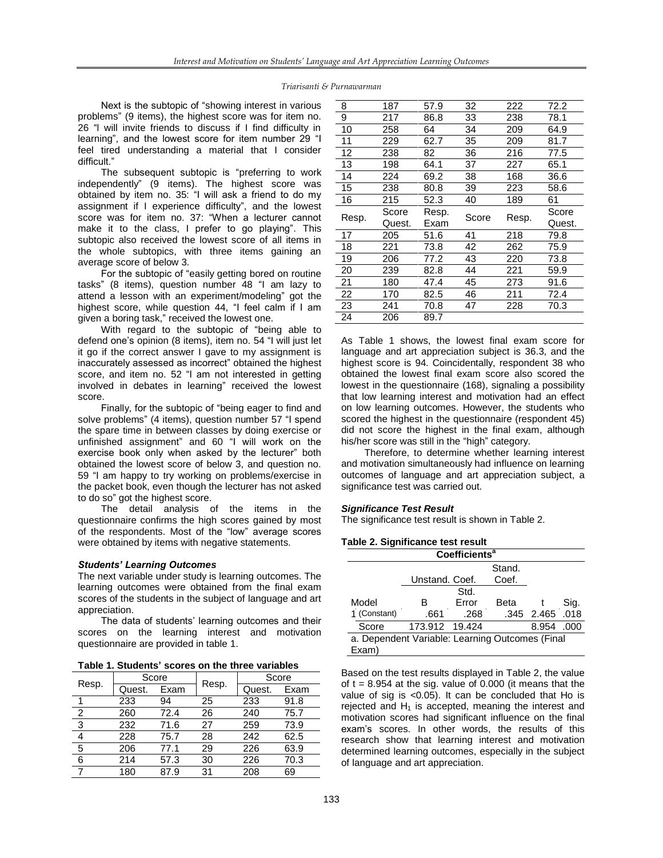#### *Triarisanti & Purnawarman*

Next is the subtopic of "showing interest in various problems" (9 items), the highest score was for item no. 26 "l will invite friends to discuss if I find difficulty in learning", and the lowest score for item number 29 "I feel tired understanding a material that I consider difficult."

The subsequent subtopic is "preferring to work independently" (9 items). The highest score was obtained by item no. 35: "I will ask a friend to do my assignment if I experience difficulty", and the lowest score was for item no. 37: "When a lecturer cannot make it to the class, I prefer to go playing". This subtopic also received the lowest score of all items in the whole subtopics, with three items gaining an average score of below 3.

For the subtopic of "easily getting bored on routine tasks" (8 items), question number 48 "I am lazy to attend a lesson with an experiment/modeling" got the highest score, while question 44, "I feel calm if I am given a boring task," received the lowest one.

With regard to the subtopic of "being able to defend one's opinion (8 items), item no. 54 "I will just let it go if the correct answer I gave to my assignment is inaccurately assessed as incorrect" obtained the highest score, and item no. 52 "I am not interested in getting involved in debates in learning" received the lowest score.

Finally, for the subtopic of "being eager to find and solve problems" (4 items), question number 57 "I spend the spare time in between classes by doing exercise or unfinished assignment" and 60 "I will work on the exercise book only when asked by the lecturer" both obtained the lowest score of below 3, and question no. 59 "I am happy to try working on problems/exercise in the packet book, even though the lecturer has not asked to do so" got the highest score.

The detail analysis of the items in the questionnaire confirms the high scores gained by most of the respondents. Most of the "low" average scores were obtained by items with negative statements.

### *Students' Learning Outcomes*

The next variable under study is learning outcomes. The learning outcomes were obtained from the final exam scores of the students in the subject of language and art appreciation.

The data of students' learning outcomes and their scores on the learning interest and motivation questionnaire are provided in table 1.

| Table 1. Students' scores on the three variables |  |  |  |  |
|--------------------------------------------------|--|--|--|--|
|--------------------------------------------------|--|--|--|--|

| Resp.          | Score  |      |       | Score  |      |
|----------------|--------|------|-------|--------|------|
|                | Quest. | Exam | Resp. | Quest. | Exam |
| 1              | 233    | 94   | 25    | 233    | 91.8 |
| $\overline{2}$ | 260    | 72.4 | 26    | 240    | 75.7 |
| 3              | 232    | 71.6 | 27    | 259    | 73.9 |
| 4              | 228    | 75.7 | 28    | 242    | 62.5 |
| 5              | 206    | 77.1 | 29    | 226    | 63.9 |
| 6              | 214    | 57.3 | 30    | 226    | 70.3 |
|                | 180    | 87.9 | 31    | 208    | 69   |

| 8     | 187    | 57.9  | 32    | 222   | 72.2   |
|-------|--------|-------|-------|-------|--------|
| 9     | 217    | 86.8  | 33    | 238   | 78.1   |
| 10    | 258    | 64    | 34    | 209   | 64.9   |
| 11    | 229    | 62.7  | 35    | 209   | 81.7   |
| 12    | 238    | 82    | 36    | 216   | 77.5   |
| 13    | 198    | 64.1  | 37    | 227   | 65.1   |
| 14    | 224    | 69.2  | 38    | 168   | 36.6   |
| 15    | 238    | 80.8  | 39    | 223   | 58.6   |
| 16    | 215    | 52.3  | 40    | 189   | 61     |
|       |        |       |       |       |        |
|       | Score  | Resp. |       |       | Score  |
| Resp. | Quest. | Exam  | Score | Resp. | Quest. |
| 17    | 205    | 51.6  | 41    | 218   | 79.8   |
| 18    | 221    | 73.8  | 42    | 262   | 75.9   |
| 19    | 206    | 77.2  | 43    | 220   | 73.8   |
| 20    | 239    | 82.8  | 44    | 221   | 59.9   |
| 21    | 180    | 47.4  | 45    | 273   | 91.6   |
| 22    | 170    | 82.5  | 46    | 211   | 72.4   |
| 23    | 241    | 70.8  | 47    | 228   | 70.3   |

As Table 1 shows, the lowest final exam score for language and art appreciation subject is 36.3, and the highest score is 94. Coincidentally, respondent 38 who obtained the lowest final exam score also scored the lowest in the questionnaire (168), signaling a possibility that low learning interest and motivation had an effect on low learning outcomes. However, the students who scored the highest in the questionnaire (respondent 45) did not score the highest in the final exam, although his/her score was still in the "high" category.

Therefore, to determine whether learning interest and motivation simultaneously had influence on learning outcomes of language and art appreciation subject, a significance test was carried out.

### *Significance Test Result*

The significance test result is shown in Table 2.

### **Table 2. Significance test result**

| Coefficients <sup>a</sup>                       |              |                |       |        |                 |      |  |
|-------------------------------------------------|--------------|----------------|-------|--------|-----------------|------|--|
|                                                 |              |                |       | Stand. |                 |      |  |
|                                                 |              | Unstand. Coef. |       | Coef.  |                 |      |  |
| Std.                                            |              |                |       |        |                 |      |  |
|                                                 | Model        | в              | Error | Beta   |                 | Sig. |  |
|                                                 | 1 (Constant) | .661           | .268  |        | .345 2.465 .018 |      |  |
|                                                 | Score        | 173.912 19.424 |       |        | 8.954 .000      |      |  |
| a. Dependent Variable: Learning Outcomes (Final |              |                |       |        |                 |      |  |
|                                                 | Exam)        |                |       |        |                 |      |  |

Based on the test results displayed in Table 2, the value of  $t = 8.954$  at the sig. value of 0.000 (it means that the value of sig is <0.05). It can be concluded that Ho is rejected and  $H_1$  is accepted, meaning the interest and motivation scores had significant influence on the final exam's scores. In other words, the results of this research show that learning interest and motivation determined learning outcomes, especially in the subject of language and art appreciation.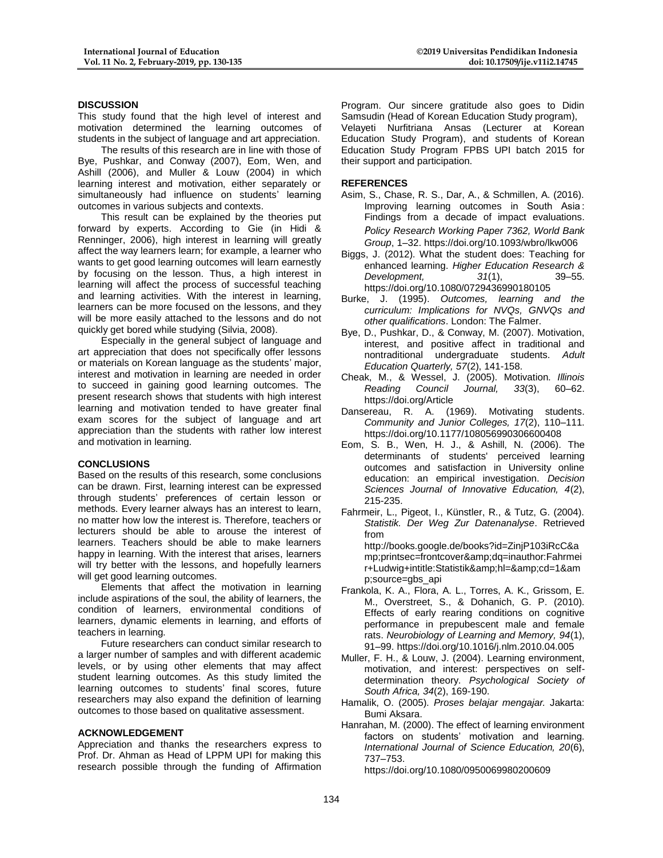# **DISCUSSION**

This study found that the high level of interest and motivation determined the learning outcomes of students in the subject of language and art appreciation.

The results of this research are in line with those of Bye, Pushkar, and Conway (2007), Eom, Wen, and Ashill (2006), and Muller & Louw (2004) in which learning interest and motivation, either separately or simultaneously had influence on students' learning outcomes in various subjects and contexts.

This result can be explained by the theories put forward by experts. According to Gie (in Hidi & Renninger, 2006), high interest in learning will greatly affect the way learners learn; for example, a learner who wants to get good learning outcomes will learn earnestly by focusing on the lesson. Thus, a high interest in learning will affect the process of successful teaching and learning activities. With the interest in learning, learners can be more focused on the lessons, and they will be more easily attached to the lessons and do not quickly get bored while studying (Silvia, 2008).

Especially in the general subject of language and art appreciation that does not specifically offer lessons or materials on Korean language as the students' major, interest and motivation in learning are needed in order to succeed in gaining good learning outcomes. The present research shows that students with high interest learning and motivation tended to have greater final exam scores for the subject of language and art appreciation than the students with rather low interest and motivation in learning.

### **CONCLUSIONS**

Based on the results of this research, some conclusions can be drawn. First, learning interest can be expressed through students' preferences of certain lesson or methods. Every learner always has an interest to learn, no matter how low the interest is. Therefore, teachers or lecturers should be able to arouse the interest of learners. Teachers should be able to make learners happy in learning. With the interest that arises, learners will try better with the lessons, and hopefully learners will get good learning outcomes.

Elements that affect the motivation in learning include aspirations of the soul, the ability of learners, the condition of learners, environmental conditions of learners, dynamic elements in learning, and efforts of teachers in learning.

Future researchers can conduct similar research to a larger number of samples and with different academic levels, or by using other elements that may affect student learning outcomes. As this study limited the learning outcomes to students' final scores, future researchers may also expand the definition of learning outcomes to those based on qualitative assessment.

# **ACKNOWLEDGEMENT**

Appreciation and thanks the researchers express to Prof. Dr. Ahman as Head of LPPM UPI for making this research possible through the funding of Affirmation

Program. Our sincere gratitude also goes to Didin Samsudin (Head of Korean Education Study program), Velayeti Nurfitriana Ansas (Lecturer at Korean Education Study Program), and students of Korean Education Study Program FPBS UPI batch 2015 for their support and participation.

# **REFERENCES**

- Asim, S., Chase, R. S., Dar, A., & Schmillen, A. (2016). Improving learning outcomes in South Asia : Findings from a decade of impact evaluations. *Policy Research Working Paper 7362, World Bank Group*, 1–32. https://doi.org/10.1093/wbro/lkw006
- Biggs, J. (2012). What the student does: Teaching for enhanced learning. *Higher Education Research & Development, 31*(1), 39–55. https://doi.org/10.1080/0729436990180105
- Burke, J. (1995). *Outcomes, learning and the curriculum: Implications for NVQs, GNVQs and other qualifications*. London: The Falmer.
- Bye, D., Pushkar, D., & Conway, M. (2007). Motivation, interest, and positive affect in traditional and nontraditional undergraduate students. *Adult Education Quarterly, 57*(2), 141-158.
- Cheak, M., & Wessel, J. (2005). Motivation. *Illinois Reading Council Journal, 33*(3), 60–62. https://doi.org/Article
- Dansereau, R. A. (1969). Motivating students. *Community and Junior Colleges, 17*(2), 110–111. https://doi.org/10.1177/108056990306600408
- Eom, S. B., Wen, H. J., & Ashill, N. (2006). The determinants of students' perceived learning outcomes and satisfaction in University online education: an empirical investigation. *Decision Sciences Journal of Innovative Education, 4*(2), 215-235.
- Fahrmeir, L., Pigeot, I., Künstler, R., & Tutz, G. (2004). *Statistik. Der Weg Zur Datenanalyse*. Retrieved from http://books.google.de/books?id=ZinjP103iRcC&a mp;printsec=frontcover&dq=inauthor:Fahrmei

r+Ludwig+intitle:Statistik&hl=&cd=1&am p;source=gbs\_api

- Frankola, K. A., Flora, A. L., Torres, A. K., Grissom, E. M., Overstreet, S., & Dohanich, G. P. (2010). Effects of early rearing conditions on cognitive performance in prepubescent male and female rats. *Neurobiology of Learning and Memory, 94*(1), 91–99. https://doi.org/10.1016/j.nlm.2010.04.005
- Muller, F. H., & Louw, J. (2004). Learning environment, motivation, and interest: perspectives on selfdetermination theory. *Psychological Society of South Africa, 34*(2), 169-190.
- Hamalik, O. (2005). *Proses belajar mengajar.* Jakarta: Bumi Aksara.
- Hanrahan, M. (2000). The effect of learning environment factors on students' motivation and learning. *International Journal of Science Education, 20*(6), 737–753.

https://doi.org/10.1080/0950069980200609